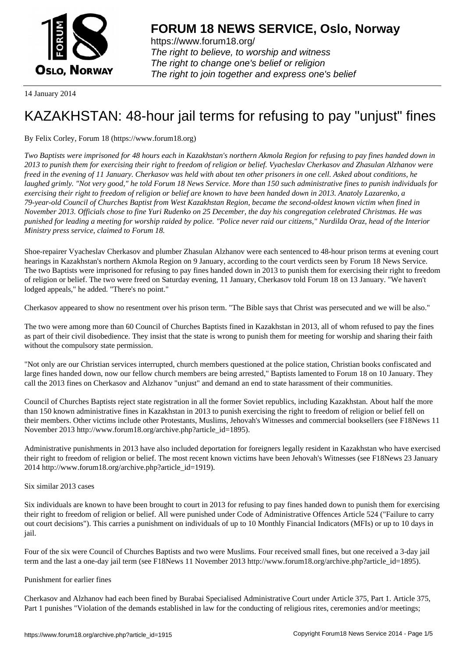

https://www.forum18.org/ The right to believe, to worship and witness The right to change one's belief or religion [The right to join together a](https://www.forum18.org/)nd express one's belief

14 January 2014

# [KAZAKHSTAN:](https://www.forum18.org) 48-hour jail terms for refusing to pay "unjust" fines

## By Felix Corley, Forum 18 (https://www.forum18.org)

*Two Baptists were imprisoned for 48 hours each in Kazakhstan's northern Akmola Region for refusing to pay fines handed down in 2013 to punish them for exercising their right to freedom of religion or belief. Vyacheslav Cherkasov and Zhasulan Alzhanov were freed in the evening of 11 January. Cherkasov was held with about ten other prisoners in one cell. Asked about conditions, he laughed grimly. "Not very good," he told Forum 18 News Service. More than 150 such administrative fines to punish individuals for exercising their right to freedom of religion or belief are known to have been handed down in 2013. Anatoly Lazarenko, a 79-year-old Council of Churches Baptist from West Kazakhstan Region, became the second-oldest known victim when fined in November 2013. Officials chose to fine Yuri Rudenko on 25 December, the day his congregation celebrated Christmas. He was punished for leading a meeting for worship raided by police. "Police never raid our citizens," Nurdilda Oraz, head of the Interior Ministry press service, claimed to Forum 18.*

Shoe-repairer Vyacheslav Cherkasov and plumber Zhasulan Alzhanov were each sentenced to 48-hour prison terms at evening court hearings in Kazakhstan's northern Akmola Region on 9 January, according to the court verdicts seen by Forum 18 News Service. The two Baptists were imprisoned for refusing to pay fines handed down in 2013 to punish them for exercising their right to freedom of religion or belief. The two were freed on Saturday evening, 11 January, Cherkasov told Forum 18 on 13 January. "We haven't lodged appeals," he added. "There's no point."

Cherkasov appeared to show no resentment over his prison term. "The Bible says that Christ was persecuted and we will be also."

The two were among more than 60 Council of Churches Baptists fined in Kazakhstan in 2013, all of whom refused to pay the fines as part of their civil disobedience. They insist that the state is wrong to punish them for meeting for worship and sharing their faith without the compulsory state permission.

"Not only are our Christian services interrupted, church members questioned at the police station, Christian books confiscated and large fines handed down, now our fellow church members are being arrested," Baptists lamented to Forum 18 on 10 January. They call the 2013 fines on Cherkasov and Alzhanov "unjust" and demand an end to state harassment of their communities.

Council of Churches Baptists reject state registration in all the former Soviet republics, including Kazakhstan. About half the more than 150 known administrative fines in Kazakhstan in 2013 to punish exercising the right to freedom of religion or belief fell on their members. Other victims include other Protestants, Muslims, Jehovah's Witnesses and commercial booksellers (see F18News 11 November 2013 http://www.forum18.org/archive.php?article\_id=1895).

Administrative punishments in 2013 have also included deportation for foreigners legally resident in Kazakhstan who have exercised their right to freedom of religion or belief. The most recent known victims have been Jehovah's Witnesses (see F18News 23 January 2014 http://www.forum18.org/archive.php?article\_id=1919).

### Six similar 2013 cases

Six individuals are known to have been brought to court in 2013 for refusing to pay fines handed down to punish them for exercising their right to freedom of religion or belief. All were punished under Code of Administrative Offences Article 524 ("Failure to carry out court decisions"). This carries a punishment on individuals of up to 10 Monthly Financial Indicators (MFIs) or up to 10 days in jail.

Four of the six were Council of Churches Baptists and two were Muslims. Four received small fines, but one received a 3-day jail term and the last a one-day jail term (see F18News 11 November 2013 http://www.forum18.org/archive.php?article\_id=1895).

### Punishment for earlier fines

Cherkasov and Alzhanov had each been fined by Burabai Specialised Administrative Court under Article 375, Part 1. Article 375, Part 1 punishes "Violation of the demands established in law for the conducting of religious rites, ceremonies and/or meetings;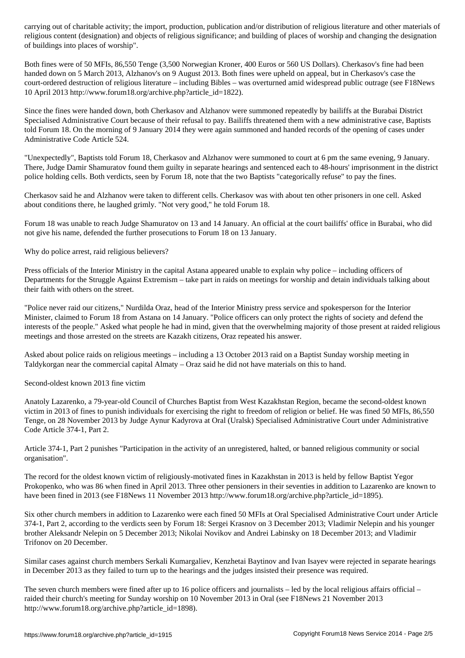religious content (designation) and objects of religious significance; and building of places of worship and changing the designation of buildings into places of worship".

Both fines were of 50 MFIs, 86,550 Tenge (3,500 Norwegian Kroner, 400 Euros or 560 US Dollars). Cherkasov's fine had been handed down on 5 March 2013, Alzhanov's on 9 August 2013. Both fines were upheld on appeal, but in Cherkasov's case the court-ordered destruction of religious literature – including Bibles – was overturned amid widespread public outrage (see F18News 10 April 2013 http://www.forum18.org/archive.php?article\_id=1822).

Since the fines were handed down, both Cherkasov and Alzhanov were summoned repeatedly by bailiffs at the Burabai District Specialised Administrative Court because of their refusal to pay. Bailiffs threatened them with a new administrative case, Baptists told Forum 18. On the morning of 9 January 2014 they were again summoned and handed records of the opening of cases under Administrative Code Article 524.

"Unexpectedly", Baptists told Forum 18, Cherkasov and Alzhanov were summoned to court at 6 pm the same evening, 9 January. There, Judge Damir Shamuratov found them guilty in separate hearings and sentenced each to 48-hours' imprisonment in the district police holding cells. Both verdicts, seen by Forum 18, note that the two Baptists "categorically refuse" to pay the fines.

Cherkasov said he and Alzhanov were taken to different cells. Cherkasov was with about ten other prisoners in one cell. Asked about conditions there, he laughed grimly. "Not very good," he told Forum 18.

Forum 18 was unable to reach Judge Shamuratov on 13 and 14 January. An official at the court bailiffs' office in Burabai, who did not give his name, defended the further prosecutions to Forum 18 on 13 January.

Why do police arrest, raid religious believers?

Press officials of the Interior Ministry in the capital Astana appeared unable to explain why police – including officers of Departments for the Struggle Against Extremism – take part in raids on meetings for worship and detain individuals talking about their faith with others on the street.

"Police never raid our citizens," Nurdilda Oraz, head of the Interior Ministry press service and spokesperson for the Interior Minister, claimed to Forum 18 from Astana on 14 January. "Police officers can only protect the rights of society and defend the interests of the people." Asked what people he had in mind, given that the overwhelming majority of those present at raided religious meetings and those arrested on the streets are Kazakh citizens, Oraz repeated his answer.

Asked about police raids on religious meetings – including a 13 October 2013 raid on a Baptist Sunday worship meeting in Taldykorgan near the commercial capital Almaty – Oraz said he did not have materials on this to hand.

Second-oldest known 2013 fine victim

Anatoly Lazarenko, a 79-year-old Council of Churches Baptist from West Kazakhstan Region, became the second-oldest known victim in 2013 of fines to punish individuals for exercising the right to freedom of religion or belief. He was fined 50 MFIs, 86,550 Tenge, on 28 November 2013 by Judge Aynur Kadyrova at Oral (Uralsk) Specialised Administrative Court under Administrative Code Article 374-1, Part 2.

Article 374-1, Part 2 punishes "Participation in the activity of an unregistered, halted, or banned religious community or social organisation".

The record for the oldest known victim of religiously-motivated fines in Kazakhstan in 2013 is held by fellow Baptist Yegor Prokopenko, who was 86 when fined in April 2013. Three other pensioners in their seventies in addition to Lazarenko are known to have been fined in 2013 (see F18News 11 November 2013 http://www.forum18.org/archive.php?article\_id=1895).

Six other church members in addition to Lazarenko were each fined 50 MFIs at Oral Specialised Administrative Court under Article 374-1, Part 2, according to the verdicts seen by Forum 18: Sergei Krasnov on 3 December 2013; Vladimir Nelepin and his younger brother Aleksandr Nelepin on 5 December 2013; Nikolai Novikov and Andrei Labinsky on 18 December 2013; and Vladimir Trifonov on 20 December.

Similar cases against church members Serkali Kumargaliev, Kenzhetai Baytinov and Ivan Isayev were rejected in separate hearings in December 2013 as they failed to turn up to the hearings and the judges insisted their presence was required.

The seven church members were fined after up to 16 police officers and journalists – led by the local religious affairs official – raided their church's meeting for Sunday worship on 10 November 2013 in Oral (see F18News 21 November 2013 http://www.forum18.org/archive.php?article\_id=1898).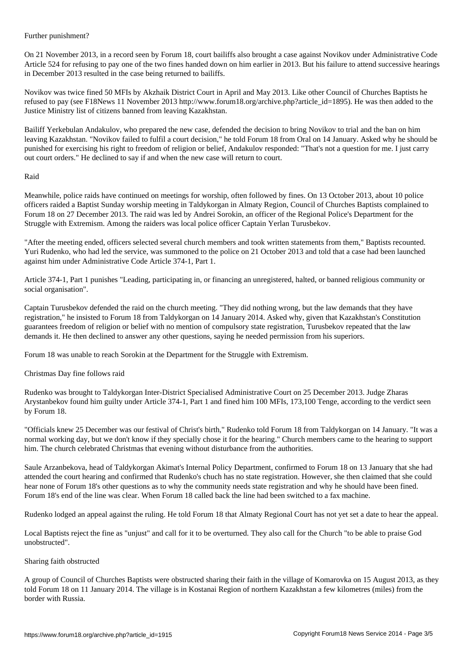On 21 November 2013, in a record seen by Forum 18, court bailiffs also brought a case against Novikov under Administrative Code Article 524 for refusing to pay one of the two fines handed down on him earlier in 2013. But his failure to attend successive hearings in December 2013 resulted in the case being returned to bailiffs.

Novikov was twice fined 50 MFIs by Akzhaik District Court in April and May 2013. Like other Council of Churches Baptists he refused to pay (see F18News 11 November 2013 http://www.forum18.org/archive.php?article\_id=1895). He was then added to the Justice Ministry list of citizens banned from leaving Kazakhstan.

Bailiff Yerkebulan Andakulov, who prepared the new case, defended the decision to bring Novikov to trial and the ban on him leaving Kazakhstan. "Novikov failed to fulfil a court decision," he told Forum 18 from Oral on 14 January. Asked why he should be punished for exercising his right to freedom of religion or belief, Andakulov responded: "That's not a question for me. I just carry out court orders." He declined to say if and when the new case will return to court.

Raid

Further punishment?

Meanwhile, police raids have continued on meetings for worship, often followed by fines. On 13 October 2013, about 10 police officers raided a Baptist Sunday worship meeting in Taldykorgan in Almaty Region, Council of Churches Baptists complained to Forum 18 on 27 December 2013. The raid was led by Andrei Sorokin, an officer of the Regional Police's Department for the Struggle with Extremism. Among the raiders was local police officer Captain Yerlan Turusbekov.

"After the meeting ended, officers selected several church members and took written statements from them," Baptists recounted. Yuri Rudenko, who had led the service, was summoned to the police on 21 October 2013 and told that a case had been launched against him under Administrative Code Article 374-1, Part 1.

Article 374-1, Part 1 punishes "Leading, participating in, or financing an unregistered, halted, or banned religious community or social organisation".

Captain Turusbekov defended the raid on the church meeting. "They did nothing wrong, but the law demands that they have registration," he insisted to Forum 18 from Taldykorgan on 14 January 2014. Asked why, given that Kazakhstan's Constitution guarantees freedom of religion or belief with no mention of compulsory state registration, Turusbekov repeated that the law demands it. He then declined to answer any other questions, saying he needed permission from his superiors.

Forum 18 was unable to reach Sorokin at the Department for the Struggle with Extremism.

Christmas Day fine follows raid

Rudenko was brought to Taldykorgan Inter-District Specialised Administrative Court on 25 December 2013. Judge Zharas Arystanbekov found him guilty under Article 374-1, Part 1 and fined him 100 MFIs, 173,100 Tenge, according to the verdict seen by Forum 18.

"Officials knew 25 December was our festival of Christ's birth," Rudenko told Forum 18 from Taldykorgan on 14 January. "It was a normal working day, but we don't know if they specially chose it for the hearing." Church members came to the hearing to support him. The church celebrated Christmas that evening without disturbance from the authorities.

Saule Arzanbekova, head of Taldykorgan Akimat's Internal Policy Department, confirmed to Forum 18 on 13 January that she had attended the court hearing and confirmed that Rudenko's chuch has no state registration. However, she then claimed that she could hear none of Forum 18's other questions as to why the community needs state registration and why he should have been fined. Forum 18's end of the line was clear. When Forum 18 called back the line had been switched to a fax machine.

Rudenko lodged an appeal against the ruling. He told Forum 18 that Almaty Regional Court has not yet set a date to hear the appeal.

Local Baptists reject the fine as "unjust" and call for it to be overturned. They also call for the Church "to be able to praise God unobstructed".

### Sharing faith obstructed

A group of Council of Churches Baptists were obstructed sharing their faith in the village of Komarovka on 15 August 2013, as they told Forum 18 on 11 January 2014. The village is in Kostanai Region of northern Kazakhstan a few kilometres (miles) from the border with Russia.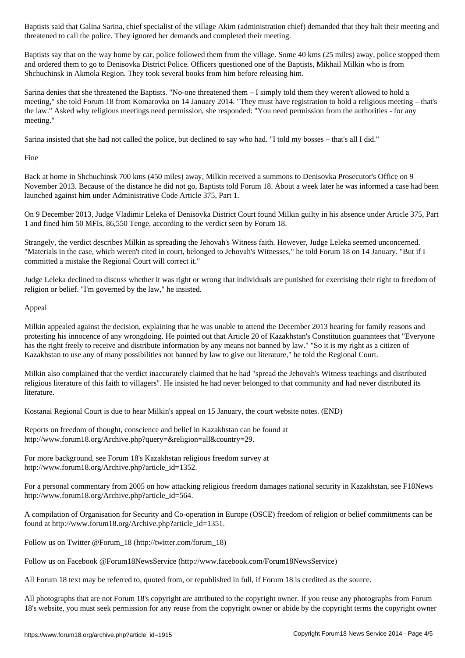threatened to call the police. They ignored her demands and completed their meeting.

Baptists say that on the way home by car, police followed them from the village. Some 40 kms (25 miles) away, police stopped them and ordered them to go to Denisovka District Police. Officers questioned one of the Baptists, Mikhail Milkin who is from Shchuchinsk in Akmola Region. They took several books from him before releasing him.

Sarina denies that she threatened the Baptists. "No-one threatened them – I simply told them they weren't allowed to hold a meeting," she told Forum 18 from Komarovka on 14 January 2014. "They must have registration to hold a religious meeting – that's the law." Asked why religious meetings need permission, she responded: "You need permission from the authorities - for any meeting."

Sarina insisted that she had not called the police, but declined to say who had. "I told my bosses – that's all I did."

Fine

Back at home in Shchuchinsk 700 kms (450 miles) away, Milkin received a summons to Denisovka Prosecutor's Office on 9 November 2013. Because of the distance he did not go, Baptists told Forum 18. About a week later he was informed a case had been launched against him under Administrative Code Article 375, Part 1.

On 9 December 2013, Judge Vladimir Leleka of Denisovka District Court found Milkin guilty in his absence under Article 375, Part 1 and fined him 50 MFIs, 86,550 Tenge, according to the verdict seen by Forum 18.

Strangely, the verdict describes Milkin as spreading the Jehovah's Witness faith. However, Judge Leleka seemed unconcerned. "Materials in the case, which weren't cited in court, belonged to Jehovah's Witnesses," he told Forum 18 on 14 January. "But if I committed a mistake the Regional Court will correct it."

Judge Leleka declined to discuss whether it was right or wrong that individuals are punished for exercising their right to freedom of religion or belief. "I'm governed by the law," he insisted.

Appeal

Milkin appealed against the decision, explaining that he was unable to attend the December 2013 hearing for family reasons and protesting his innocence of any wrongdoing. He pointed out that Article 20 of Kazakhstan's Constitution guarantees that "Everyone has the right freely to receive and distribute information by any means not banned by law." "So it is my right as a citizen of Kazakhstan to use any of many possibilities not banned by law to give out literature," he told the Regional Court.

Milkin also complained that the verdict inaccurately claimed that he had "spread the Jehovah's Witness teachings and distributed religious literature of this faith to villagers". He insisted he had never belonged to that community and had never distributed its literature.

Kostanai Regional Court is due to hear Milkin's appeal on 15 January, the court website notes. (END)

Reports on freedom of thought, conscience and belief in Kazakhstan can be found at http://www.forum18.org/Archive.php?query=&religion=all&country=29.

For more background, see Forum 18's Kazakhstan religious freedom survey at http://www.forum18.org/Archive.php?article\_id=1352.

For a personal commentary from 2005 on how attacking religious freedom damages national security in Kazakhstan, see F18News http://www.forum18.org/Archive.php?article\_id=564.

A compilation of Organisation for Security and Co-operation in Europe (OSCE) freedom of religion or belief commitments can be found at http://www.forum18.org/Archive.php?article\_id=1351.

Follow us on Twitter @Forum\_18 (http://twitter.com/forum\_18)

Follow us on Facebook @Forum18NewsService (http://www.facebook.com/Forum18NewsService)

All Forum 18 text may be referred to, quoted from, or republished in full, if Forum 18 is credited as the source.

All photographs that are not Forum 18's copyright are attributed to the copyright owner. If you reuse any photographs from Forum 18's website, you must seek permission for any reuse from the copyright owner or abide by the copyright terms the copyright owner